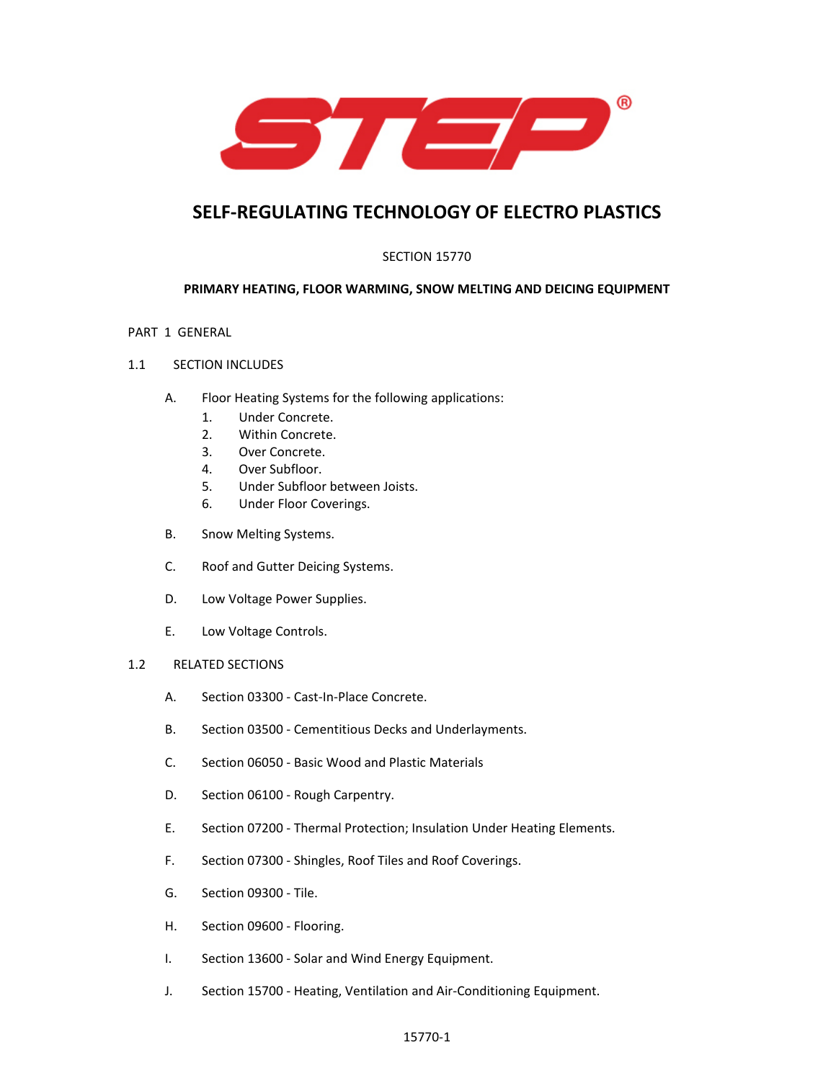

# **SELF‐REGULATING TECHNOLOGY OF ELECTRO PLASTICS**

# SECTION 15770

# **PRIMARY HEATING, FLOOR WARMING, SNOW MELTING AND DEICING EQUIPMENT**

## PART 1 GENERAL

## 1.1 SECTION INCLUDES

- A. Floor Heating Systems for the following applications:
	- 1. Under Concrete.
	- 2. Within Concrete.
	- 3. Over Concrete.
	- 4. Over Subfloor.
	- 5. Under Subfloor between Joists.
	- 6. Under Floor Coverings.
- B. Snow Melting Systems.
- C. Roof and Gutter Deicing Systems.
- D. Low Voltage Power Supplies.
- E. Low Voltage Controls.

## 1.2 RELATED SECTIONS

- A. Section 03300 ‐ Cast‐In‐Place Concrete.
- B. Section 03500 ‐ Cementitious Decks and Underlayments.
- C. Section 06050 ‐ Basic Wood and Plastic Materials
- D. Section 06100 Rough Carpentry.
- E. Section 07200 ‐ Thermal Protection; Insulation Under Heating Elements.
- F. Section 07300 ‐ Shingles, Roof Tiles and Roof Coverings.
- G. Section 09300 ‐ Tile.
- H. Section 09600 ‐ Flooring.
- I. Section 13600 ‐ Solar and Wind Energy Equipment.
- J. Section 15700 ‐ Heating, Ventilation and Air‐Conditioning Equipment.

## 15770‐1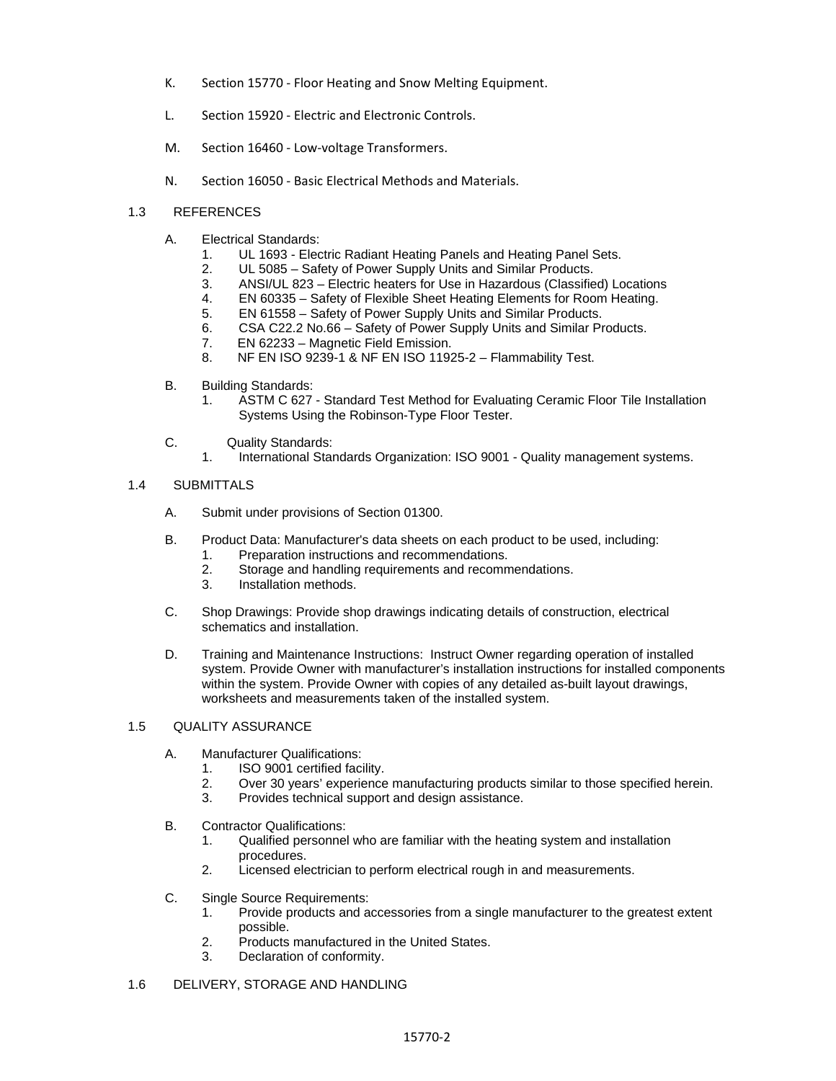- K. Section 15770 ‐ Floor Heating and Snow Melting Equipment.
- L. Section 15920 ‐ Electric and Electronic Controls.
- M. Section 16460 Low-voltage Transformers.
- N. Section 16050 ‐ Basic Electrical Methods and Materials.

## 1.3 REFERENCES

- A. Electrical Standards:
	- 1. UL 1693 Electric Radiant Heating Panels and Heating Panel Sets.<br>2. UL 5085 Safety of Power Supply Units and Similar Products.
	- UL 5085 Safety of Power Supply Units and Similar Products.
	- 3. ANSI/UL 823 Electric heaters for Use in Hazardous (Classified) Locations
	- 4. EN 60335 Safety of Flexible Sheet Heating Elements for Room Heating.
	- 5. EN 61558 Safety of Power Supply Units and Similar Products.
	- 6. CSA C22.2 No.66 Safety of Power Supply Units and Similar Products.
	- 7. EN 62233 Magnetic Field Emission.
	- 8. NF EN ISO 9239-1 & NF EN ISO 11925-2 Flammability Test.
- B. Building Standards:
	- 1. ASTM C 627 Standard Test Method for Evaluating Ceramic Floor Tile Installation Systems Using the Robinson-Type Floor Tester.
- C. Quality Standards:
	- 1. International Standards Organization: ISO 9001 Quality management systems.

#### 1.4 SUBMITTALS

- A. Submit under provisions of Section 01300.
- B. Product Data: Manufacturer's data sheets on each product to be used, including:
	- 1. Preparation instructions and recommendations.
		- 2. Storage and handling requirements and recommendations.<br>3. Installation methods.
		- Installation methods.
- C. Shop Drawings: Provide shop drawings indicating details of construction, electrical schematics and installation.
- D. Training and Maintenance Instructions: Instruct Owner regarding operation of installed system. Provide Owner with manufacturer's installation instructions for installed components within the system. Provide Owner with copies of any detailed as-built layout drawings, worksheets and measurements taken of the installed system.

#### 1.5 QUALITY ASSURANCE

- A. Manufacturer Qualifications:
	- 1. ISO 9001 certified facility.
	- 2. Over 30 years' experience manufacturing products similar to those specified herein.
	- 3. Provides technical support and design assistance.
- B. Contractor Qualifications:
	- 1. Qualified personnel who are familiar with the heating system and installation procedures.
	- 2. Licensed electrician to perform electrical rough in and measurements.
- C. Single Source Requirements:
	- 1. Provide products and accessories from a single manufacturer to the greatest extent possible.
	- 2. Products manufactured in the United States.
	- 3. Declaration of conformity.
- 1.6 DELIVERY, STORAGE AND HANDLING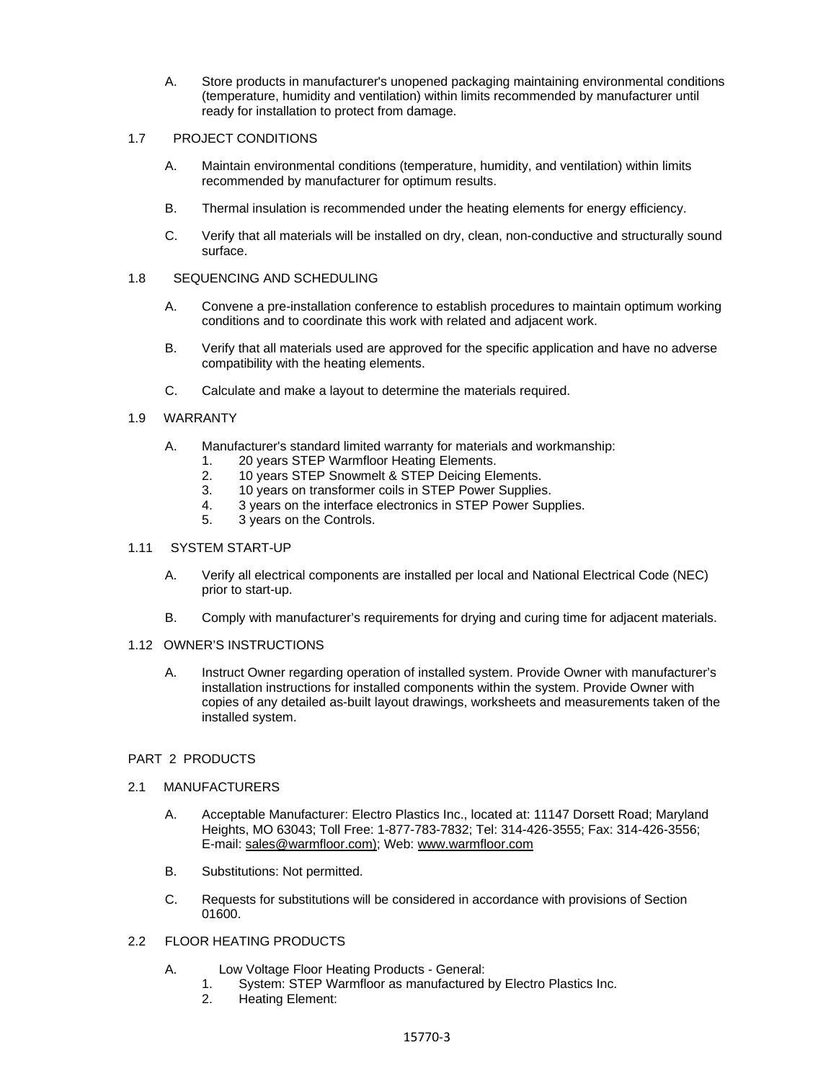A. Store products in manufacturer's unopened packaging maintaining environmental conditions (temperature, humidity and ventilation) within limits recommended by manufacturer until ready for installation to protect from damage.

## 1.7 PROJECT CONDITIONS

- A. Maintain environmental conditions (temperature, humidity, and ventilation) within limits recommended by manufacturer for optimum results.
- B. Thermal insulation is recommended under the heating elements for energy efficiency.
- C. Verify that all materials will be installed on dry, clean, non-conductive and structurally sound surface.

#### 1.8 SEQUENCING AND SCHEDULING

- A. Convene a pre-installation conference to establish procedures to maintain optimum working conditions and to coordinate this work with related and adjacent work.
- B. Verify that all materials used are approved for the specific application and have no adverse compatibility with the heating elements.
- C. Calculate and make a layout to determine the materials required.

#### 1.9 WARRANTY

- A. Manufacturer's standard limited warranty for materials and workmanship:
	- 1. 20 years STEP Warmfloor Heating Elements.
	- 2. 10 years STEP Snowmelt & STEP Deicing Elements.
	- 3. 10 years on transformer coils in STEP Power Supplies.
	- 4. 3 years on the interface electronics in STEP Power Supplies.
	- 5. 3 years on the Controls.

#### 1.11 SYSTEM START-UP

- A. Verify all electrical components are installed per local and National Electrical Code (NEC) prior to start-up.
- B. Comply with manufacturer's requirements for drying and curing time for adjacent materials.

#### 1.12 OWNER'S INSTRUCTIONS

A. Instruct Owner regarding operation of installed system. Provide Owner with manufacturer's installation instructions for installed components within the system. Provide Owner with copies of any detailed as-built layout drawings, worksheets and measurements taken of the installed system.

## PART 2 PRODUCTS

#### 2.1 MANUFACTURERS

- A. Acceptable Manufacturer: Electro Plastics Inc., located at: 11147 Dorsett Road; Maryland Heights, MO 63043; Toll Free: 1-877-783-7832; Tel: 314-426-3555; Fax: 314-426-3556; E-mail: sales@warmfloor.com); Web: www.warmfloor.com
- B. Substitutions: Not permitted.
- C. Requests for substitutions will be considered in accordance with provisions of Section 01600.

## 2.2 FLOOR HEATING PRODUCTS

- A. Low Voltage Floor Heating Products General:
	- 1. System: STEP Warmfloor as manufactured by Electro Plastics Inc.
	- 2. Heating Element: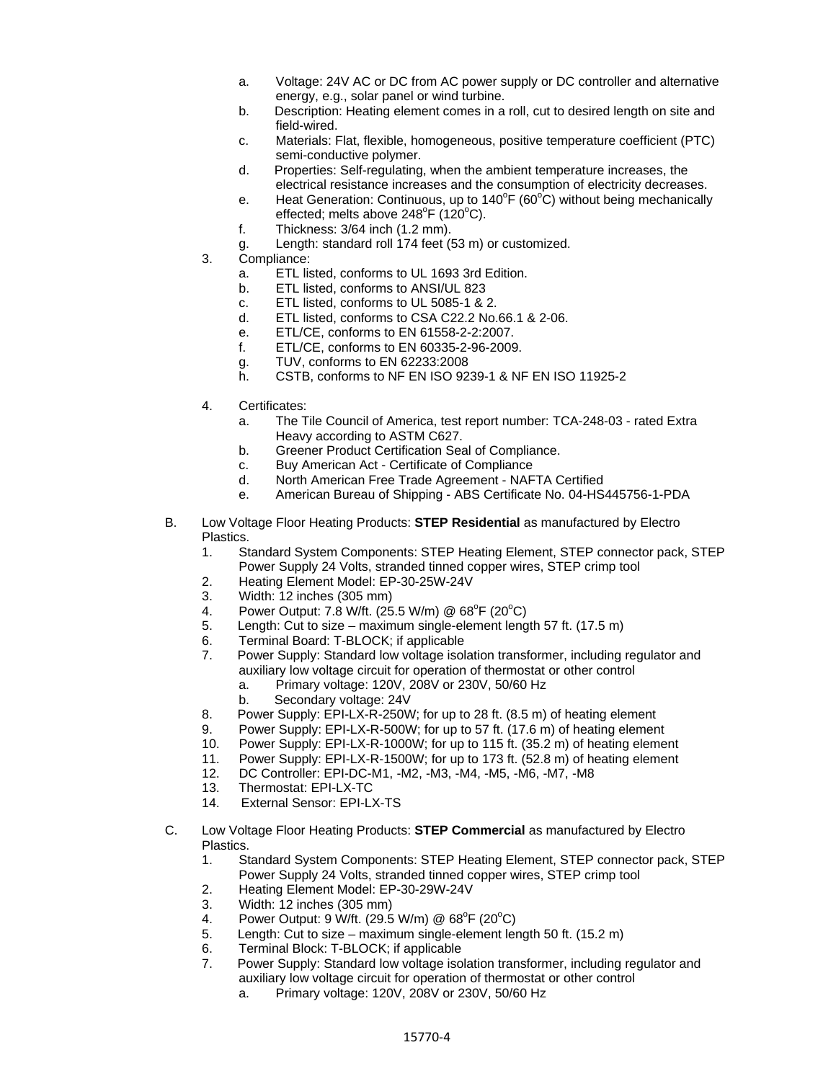- a. Voltage: 24V AC or DC from AC power supply or DC controller and alternative energy, e.g., solar panel or wind turbine.
- b. Description: Heating element comes in a roll, cut to desired length on site and field-wired.
- c. Materials: Flat, flexible, homogeneous, positive temperature coefficient (PTC) semi-conductive polymer.
- d. Properties: Self-regulating, when the ambient temperature increases, the electrical resistance increases and the consumption of electricity decreases.
- e. Heat Generation: Continuous, up to  $140^{\circ}F(60^{\circ}C)$  without being mechanically effected; melts above  $248^{\circ}$ F (120 $^{\circ}$ C).
- f. Thickness: 3/64 inch (1.2 mm).
- g. Length: standard roll 174 feet (53 m) or customized.
- 3. Compliance:
	- a. ETL listed, conforms to UL 1693 3rd Edition.
	- b. ETL listed, conforms to ANSI/UL 823
	- c. ETL listed, conforms to UL 5085-1 & 2.
	- d. ETL listed, conforms to CSA C22.2 No.66.1 & 2-06.
	- e. ETL/CE, conforms to EN 61558-2-2:2007.
	- f. ETL/CE, conforms to EN 60335-2-96-2009.
	- g. TUV, conforms to EN 62233:2008<br>h. CSTB. conforms to NF EN ISO 923
	- CSTB, conforms to NF EN ISO 9239-1 & NF EN ISO 11925-2
- 4. Certificates:
	- a. The Tile Council of America, test report number: TCA-248-03 rated Extra Heavy according to ASTM C627.
	- b. Greener Product Certification Seal of Compliance.
	- c. Buy American Act Certificate of Compliance
	- d. North American Free Trade Agreement NAFTA Certified
	- e. American Bureau of Shipping ABS Certificate No. 04-HS445756-1-PDA
- B. Low Voltage Floor Heating Products: **STEP Residential** as manufactured by Electro Plastics.
	- 1. Standard System Components: STEP Heating Element, STEP connector pack, STEP Power Supply 24 Volts, stranded tinned copper wires, STEP crimp tool
	- 2. Heating Element Model: EP-30-25W-24V
	- 3. Width: 12 inches (305 mm)
	- 4. Power Output: 7.8 W/ft. (25.5 W/m) @ 68<sup>o</sup>F (20<sup>o</sup>C)
	- 5. Length: Cut to size maximum single-element length 57 ft. (17.5 m)
	- 6. Terminal Board: T-BLOCK; if applicable
	- 7. Power Supply: Standard low voltage isolation transformer, including regulator and auxiliary low voltage circuit for operation of thermostat or other control
		- a. Primary voltage: 120V, 208V or 230V, 50/60 Hz
		- b. Secondary voltage: 24V
	- 8. Power Supply: EPI-LX-R-250W; for up to 28 ft. (8.5 m) of heating element
	- 9. Power Supply: EPI-LX-R-500W; for up to 57 ft. (17.6 m) of heating element 10. Power Supply: EPI-LX-R-1000W: for up to 115 ft. (35.2 m) of heating eleme
	- Power Supply: EPI-LX-R-1000W; for up to 115 ft. (35.2 m) of heating element
	- 11. Power Supply: EPI-LX-R-1500W; for up to 173 ft. (52.8 m) of heating element
	- 12. DC Controller: EPI-DC-M1, -M2, -M3, -M4, -M5, -M6, -M7, -M8
	- 13. Thermostat: EPI-LX-TC
	- 14. External Sensor: EPI-LX-TS
- C. Low Voltage Floor Heating Products: **STEP Commercial** as manufactured by Electro Plastics.
	- 1. Standard System Components: STEP Heating Element, STEP connector pack, STEP Power Supply 24 Volts, stranded tinned copper wires, STEP crimp tool
	- 2. Heating Element Model: EP-30-29W-24V
	- 3. Width: 12 inches (305 mm)
	- 4. Power Output: 9 W/ft. (29.5 W/m) @ 68<sup>o</sup>F (20<sup>o</sup>C)
	- 5. Length: Cut to size maximum single-element length 50 ft. (15.2 m)
	- 6. Terminal Block: T-BLOCK; if applicable
	- 7. Power Supply: Standard low voltage isolation transformer, including regulator and auxiliary low voltage circuit for operation of thermostat or other control
		- a. Primary voltage: 120V, 208V or 230V, 50/60 Hz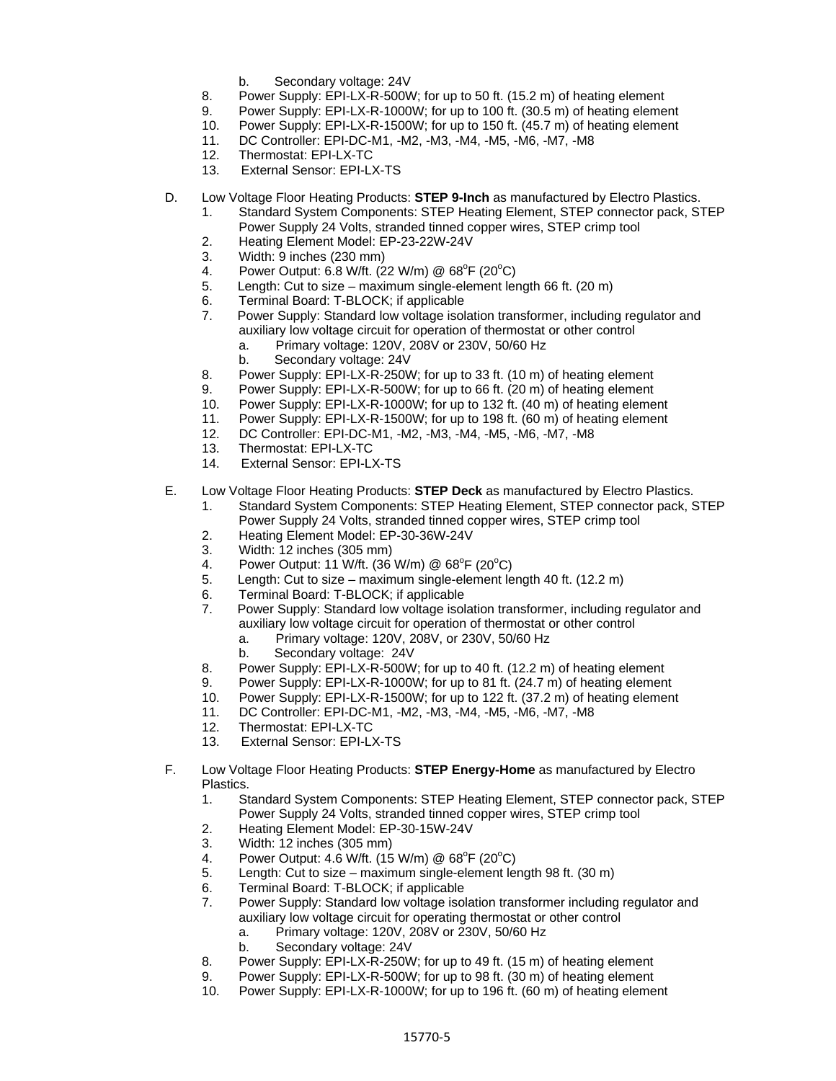- b. Secondary voltage: 24V
- 8. Power Supply: EPI-LX-R-500W; for up to 50 ft. (15.2 m) of heating element
- 9. Power Supply: EPI-LX-R-1000W; for up to 100 ft. (30.5 m) of heating element
- 10. Power Supply: EPI-LX-R-1500W; for up to 150 ft. (45.7 m) of heating element
- 11. DC Controller: EPI-DC-M1, -M2, -M3, -M4, -M5, -M6, -M7, -M8
- 12. Thermostat: EPI-LX-TC
- 13. External Sensor: EPI-LX-TS
- D. Low Voltage Floor Heating Products: **STEP 9-Inch** as manufactured by Electro Plastics.
	- 1. Standard System Components: STEP Heating Element, STEP connector pack, STEP Power Supply 24 Volts, stranded tinned copper wires, STEP crimp tool
	- 2. Heating Element Model: EP-23-22W-24V
	- 3. Width: 9 inches (230 mm)
	- 4. Power Output: 6.8 W/ft. (22 W/m) @ 68<sup>o</sup>F (20<sup>o</sup>C)
	- 5. Length: Cut to size maximum single-element length 66 ft. (20 m)
	- 6. Terminal Board: T-BLOCK; if applicable
	- 7. Power Supply: Standard low voltage isolation transformer, including regulator and auxiliary low voltage circuit for operation of thermostat or other control
		- a. Primary voltage: 120V, 208V or 230V, 50/60 Hz
		- b. Secondary voltage: 24V
	- 8. Power Supply: EPI-LX-R-250W; for up to 33 ft. (10 m) of heating element
	- 9. Power Supply: EPI-LX-R-500W; for up to 66 ft. (20 m) of heating element 10. Power Supply: EPI-LX-R-1000W; for up to 132 ft. (40 m) of heating eleme
	- Power Supply: EPI-LX-R-1000W; for up to 132 ft. (40 m) of heating element
	- 11. Power Supply: EPI-LX-R-1500W; for up to 198 ft. (60 m) of heating element
	- 12. DC Controller: EPI-DC-M1, -M2, -M3, -M4, -M5, -M6, -M7, -M8
	- 13. Thermostat: EPI-LX-TC
	- 14. External Sensor: EPI-LX-TS
- E. Low Voltage Floor Heating Products: **STEP Deck** as manufactured by Electro Plastics.
	- 1. Standard System Components: STEP Heating Element, STEP connector pack, STEP Power Supply 24 Volts, stranded tinned copper wires, STEP crimp tool 2. Heating Element Model: EP-30-36W-24V
	- 3. Width: 12 inches (305 mm)
	- 4. Power Output: 11 W/ft. (36 W/m) @  $68^{\circ}F$  (20 $^{\circ}C$ )
	- 5. Length: Cut to size maximum single-element length 40 ft. (12.2 m)
	- 6. Terminal Board: T-BLOCK; if applicable
	- 7. Power Supply: Standard low voltage isolation transformer, including regulator and auxiliary low voltage circuit for operation of thermostat or other control
		- a. Primary voltage: 120V, 208V, or 230V, 50/60 Hz
		- b. Secondary voltage: 24V
	- 8. Power Supply: EPI-LX-R-500W; for up to 40 ft. (12.2 m) of heating element
	- 9. Power Supply: EPI-LX-R-1000W; for up to 81 ft. (24.7 m) of heating element
	- 10. Power Supply: EPI-LX-R-1500W; for up to 122 ft. (37.2 m) of heating element
	- 11. DC Controller: EPI-DC-M1, -M2, -M3, -M4, -M5, -M6, -M7, -M8
	- 12. Thermostat: EPI-LX-TC
	- 13. External Sensor: EPI-LX-TS
- F. Low Voltage Floor Heating Products: **STEP Energy-Home** as manufactured by Electro Plastics.
	- 1. Standard System Components: STEP Heating Element, STEP connector pack, STEP Power Supply 24 Volts, stranded tinned copper wires, STEP crimp tool
	- 2. Heating Element Model: EP-30-15W-24V
	- 3. Width: 12 inches (305 mm)
	- 4. Power Output: 4.6 W/ft. (15 W/m) @ 68<sup>o</sup>F (20<sup>o</sup>C)
	- 5. Length: Cut to size maximum single-element length 98 ft. (30 m)
	- 6. Terminal Board: T-BLOCK; if applicable
	- 7. Power Supply: Standard low voltage isolation transformer including regulator and auxiliary low voltage circuit for operating thermostat or other control
		- a. Primary voltage: 120V, 208V or 230V, 50/60 Hz
		- b. Secondary voltage: 24V
	- 8. Power Supply: EPI-LX-R-250W; for up to 49 ft. (15 m) of heating element
	- 9. Power Supply: EPI-LX-R-500W; for up to 98 ft. (30 m) of heating element
	- 10. Power Supply: EPI-LX-R-1000W; for up to 196 ft. (60 m) of heating element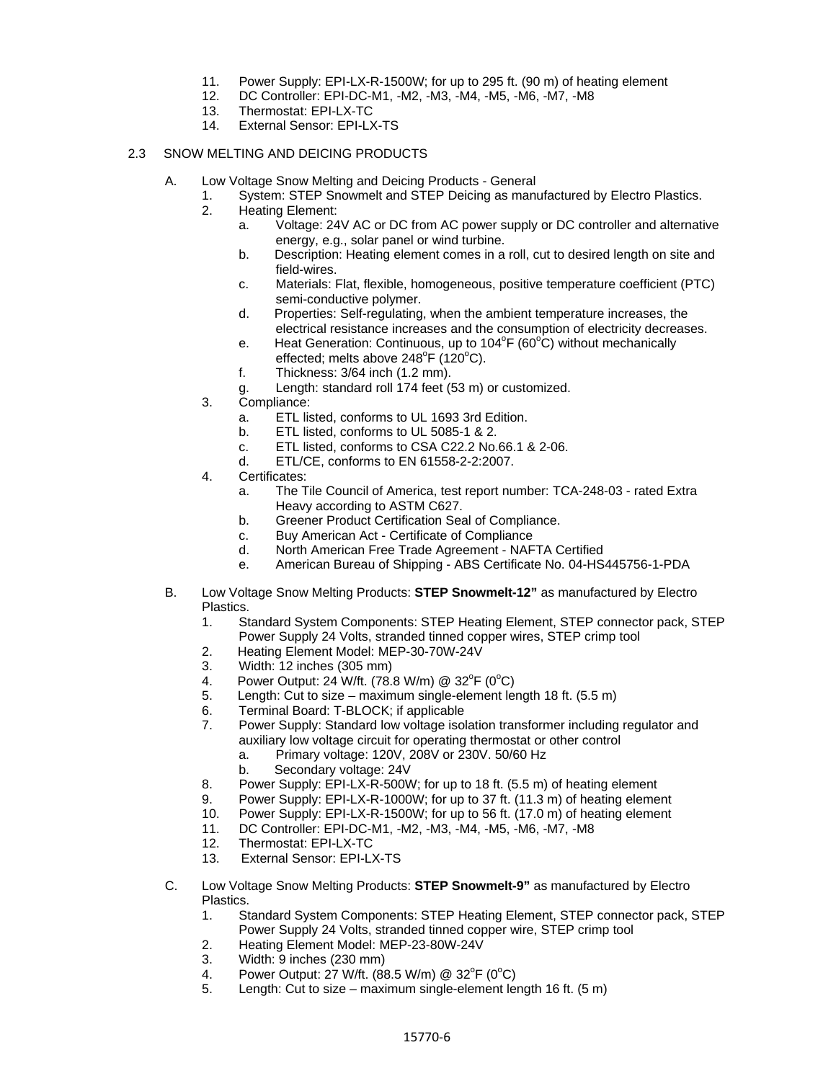- 11. Power Supply: EPI-LX-R-1500W; for up to 295 ft. (90 m) of heating element 12. DC Controller: EPI-DC-M1. -M2. -M3. -M4. -M5. -M6. -M7. -M8
- DC Controller: EPI-DC-M1, -M2, -M3, -M4, -M5, -M6, -M7, -M8
- 13. Thermostat: EPI-LX-TC
- 14. External Sensor: EPI-LX-TS

## 2.3 SNOW MELTING AND DEICING PRODUCTS

- A. Low Voltage Snow Melting and Deicing Products General
	- 1. System: STEP Snowmelt and STEP Deicing as manufactured by Electro Plastics.
		- 2. Heating Element:
			- a. Voltage: 24V AC or DC from AC power supply or DC controller and alternative energy, e.g., solar panel or wind turbine.
			- b. Description: Heating element comes in a roll, cut to desired length on site and field-wires.
			- c. Materials: Flat, flexible, homogeneous, positive temperature coefficient (PTC) semi-conductive polymer.
			- d. Properties: Self-regulating, when the ambient temperature increases, the electrical resistance increases and the consumption of electricity decreases.
			- e. Heat Generation: Continuous, up to  $104^{\circ}F(60^{\circ}C)$  without mechanically effected; melts above  $248^{\circ}$ F (120 $^{\circ}$ C).
			- f. Thickness: 3/64 inch (1.2 mm).
			- g. Length: standard roll 174 feet (53 m) or customized.
		- 3. Compliance:
			- a. ETL listed, conforms to UL 1693 3rd Edition.
			- b. ETL listed, conforms to UL 5085-1 & 2.
			- c. ETL listed, conforms to CSA C22.2 No.66.1 & 2-06.
			- d. ETL/CE, conforms to EN 61558-2-2:2007.
		- 4. Certificates:
			- a. The Tile Council of America, test report number: TCA-248-03 rated Extra Heavy according to ASTM C627.
			- b. Greener Product Certification Seal of Compliance.
			- c. Buy American Act Certificate of Compliance
			- d. North American Free Trade Agreement NAFTA Certified
			- e. American Bureau of Shipping ABS Certificate No. 04-HS445756-1-PDA
- B. Low Voltage Snow Melting Products: **STEP Snowmelt-12"** as manufactured by Electro Plastics.
	- 1. Standard System Components: STEP Heating Element, STEP connector pack, STEP Power Supply 24 Volts, stranded tinned copper wires, STEP crimp tool
	- 2. Heating Element Model: MEP-30-70W-24V
	- 3. Width: 12 inches (305 mm)
	- 4. Power Output: 24 W/ft. (78.8 W/m) @ 32<sup>°</sup>F (0<sup>°</sup>C)
	- 5. Length: Cut to size maximum single-element length 18 ft. (5.5 m)
	- 6. Terminal Board: T-BLOCK; if applicable
	- 7. Power Supply: Standard low voltage isolation transformer including regulator and auxiliary low voltage circuit for operating thermostat or other control
		- a. Primary voltage: 120V, 208V or 230V. 50/60 Hz
		- b. Secondary voltage: 24V
	- 8. Power Supply: EPI-LX-R-500W; for up to 18 ft. (5.5 m) of heating element
	- 9. Power Supply: EPI-LX-R-1000W; for up to 37 ft. (11.3 m) of heating element
	- 10. Power Supply: EPI-LX-R-1500W; for up to 56 ft. (17.0 m) of heating element
	- 11. DC Controller: EPI-DC-M1, -M2, -M3, -M4, -M5, -M6, -M7, -M8
	- 12. Thermostat: EPI-LX-TC
	- 13. External Sensor: EPI-LX-TS
- C. Low Voltage Snow Melting Products: **STEP Snowmelt-9"** as manufactured by Electro Plastics.
	- 1. Standard System Components: STEP Heating Element, STEP connector pack, STEP Power Supply 24 Volts, stranded tinned copper wire, STEP crimp tool
	- 2. Heating Element Model: MEP-23-80W-24V
	- 3. Width: 9 inches (230 mm)
	- 4. Power Output: 27 W/ft. (88.5 W/m) @ 32<sup>°</sup>F (0<sup>°</sup>C)
	- 5. Length: Cut to size maximum single-element length 16 ft. (5 m)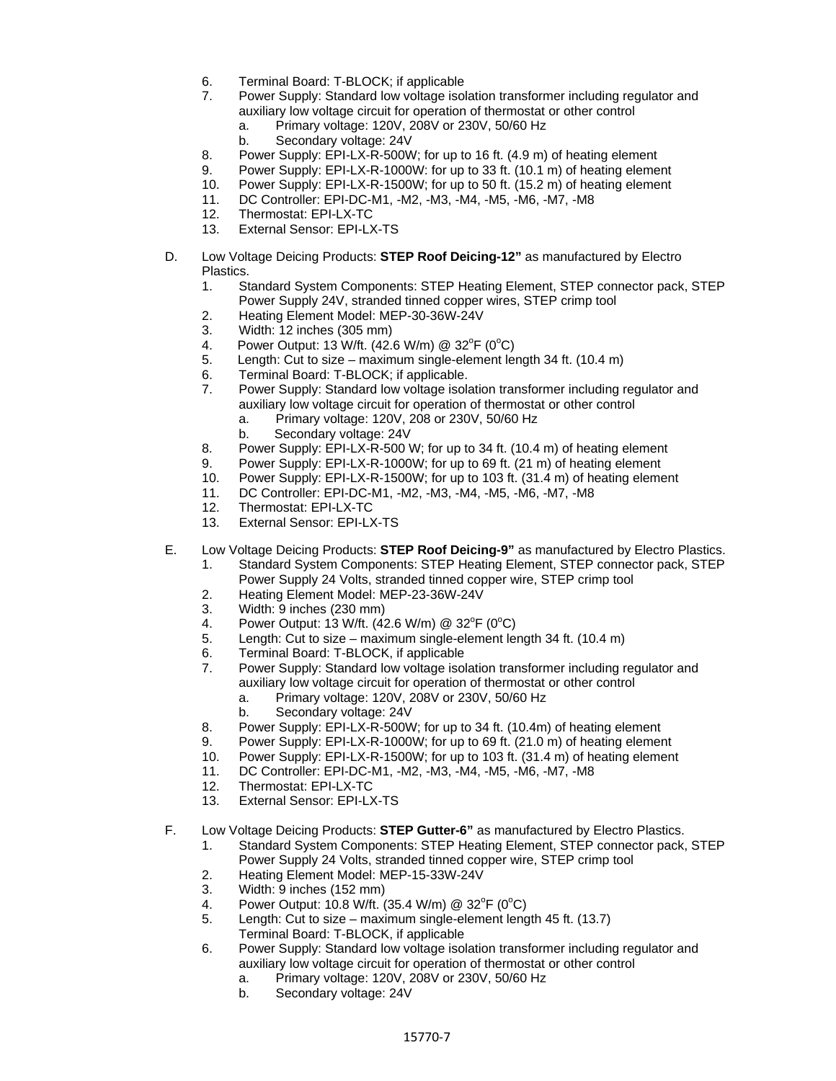- 6. Terminal Board: T-BLOCK; if applicable
- 7. Power Supply: Standard low voltage isolation transformer including regulator and auxiliary low voltage circuit for operation of thermostat or other control
	- a. Primary voltage: 120V, 208V or 230V, 50/60 Hz
		- b. Secondary voltage: 24V
- 8. Power Supply: EPI-LX-R-500W; for up to 16 ft. (4.9 m) of heating element
- 9. Power Supply: EPI-LX-R-1000W: for up to 33 ft. (10.1 m) of heating element
- 10. Power Supply: EPI-LX-R-1500W; for up to 50 ft. (15.2 m) of heating element
- 11. DC Controller: EPI-DC-M1, -M2, -M3, -M4, -M5, -M6, -M7, -M8
- 12. Thermostat: EPI-LX-TC
- 13. External Sensor: EPI-LX-TS
- D. Low Voltage Deicing Products: **STEP Roof Deicing-12"** as manufactured by Electro Plastics.
	- 1. Standard System Components: STEP Heating Element, STEP connector pack, STEP Power Supply 24V, stranded tinned copper wires, STEP crimp tool
	- 2. Heating Element Model: MEP-30-36W-24V
	- 3. Width: 12 inches (305 mm)
	- 4. Power Output: 13 W/ft. (42.6 W/m) @ 32°F (0°C)
	- 5. Length: Cut to size maximum single-element length 34 ft. (10.4 m)
	- 6. Terminal Board: T-BLOCK; if applicable.
	- 7. Power Supply: Standard low voltage isolation transformer including regulator and auxiliary low voltage circuit for operation of thermostat or other control
		- a. Primary voltage: 120V, 208 or 230V, 50/60 Hz
		- b. Secondary voltage: 24V
	- 8. Power Supply: EPI-LX-R-500 W; for up to 34 ft. (10.4 m) of heating element
	- 9. Power Supply: EPI-LX-R-1000W; for up to 69 ft. (21 m) of heating element
	- 10. Power Supply: EPI-LX-R-1500W; for up to 103 ft. (31.4 m) of heating element
	- 11. DC Controller: EPI-DC-M1, -M2, -M3, -M4, -M5, -M6, -M7, -M8
	- 12. Thermostat: EPI-LX-TC
	- 13. External Sensor: EPI-LX-TS
- E. Low Voltage Deicing Products: **STEP Roof Deicing-9"** as manufactured by Electro Plastics.
	- 1. Standard System Components: STEP Heating Element, STEP connector pack, STEP Power Supply 24 Volts, stranded tinned copper wire, STEP crimp tool
	- 2. Heating Element Model: MEP-23-36W-24V
	- 3. Width: 9 inches (230 mm)
	- 4. Power Output: 13 W/ft.  $(42.6 \text{ W/m})$  @ 32<sup>o</sup>F (0<sup>o</sup>C)
	- 5. Length: Cut to size maximum single-element length 34 ft. (10.4 m)
	- 6. Terminal Board: T-BLOCK, if applicable
	- Power Supply: Standard low voltage isolation transformer including regulator and auxiliary low voltage circuit for operation of thermostat or other control
		- a. Primary voltage: 120V, 208V or 230V, 50/60 Hz
		- b. Secondary voltage: 24V
	- 8. Power Supply: EPI-LX-R-500W; for up to 34 ft. (10.4m) of heating element
	- 9. Power Supply: EPI-LX-R-1000W; for up to 69 ft. (21.0 m) of heating element
	- 10. Power Supply: EPI-LX-R-1500W; for up to 103 ft. (31.4 m) of heating element
	- 11. DC Controller: EPI-DC-M1, -M2, -M3, -M4, -M5, -M6, -M7, -M8
	- 12. Thermostat: EPI-LX-TC
	- 13. External Sensor: EPI-LX-TS
- F. Low Voltage Deicing Products: **STEP Gutter-6"** as manufactured by Electro Plastics.
	- 1. Standard System Components: STEP Heating Element, STEP connector pack, STEP Power Supply 24 Volts, stranded tinned copper wire, STEP crimp tool
	- 2. Heating Element Model: MEP-15-33W-24V
	- 3. Width: 9 inches (152 mm)
	- 4. Power Output: 10.8 W/ft. (35.4 W/m) @ 32<sup>o</sup>F (0<sup>o</sup>C)
	- 5. Length: Cut to size maximum single-element length 45 ft. (13.7) Terminal Board: T-BLOCK, if applicable
	- 6. Power Supply: Standard low voltage isolation transformer including regulator and auxiliary low voltage circuit for operation of thermostat or other control
		- a. Primary voltage: 120V, 208V or 230V, 50/60 Hz
		- b. Secondary voltage: 24V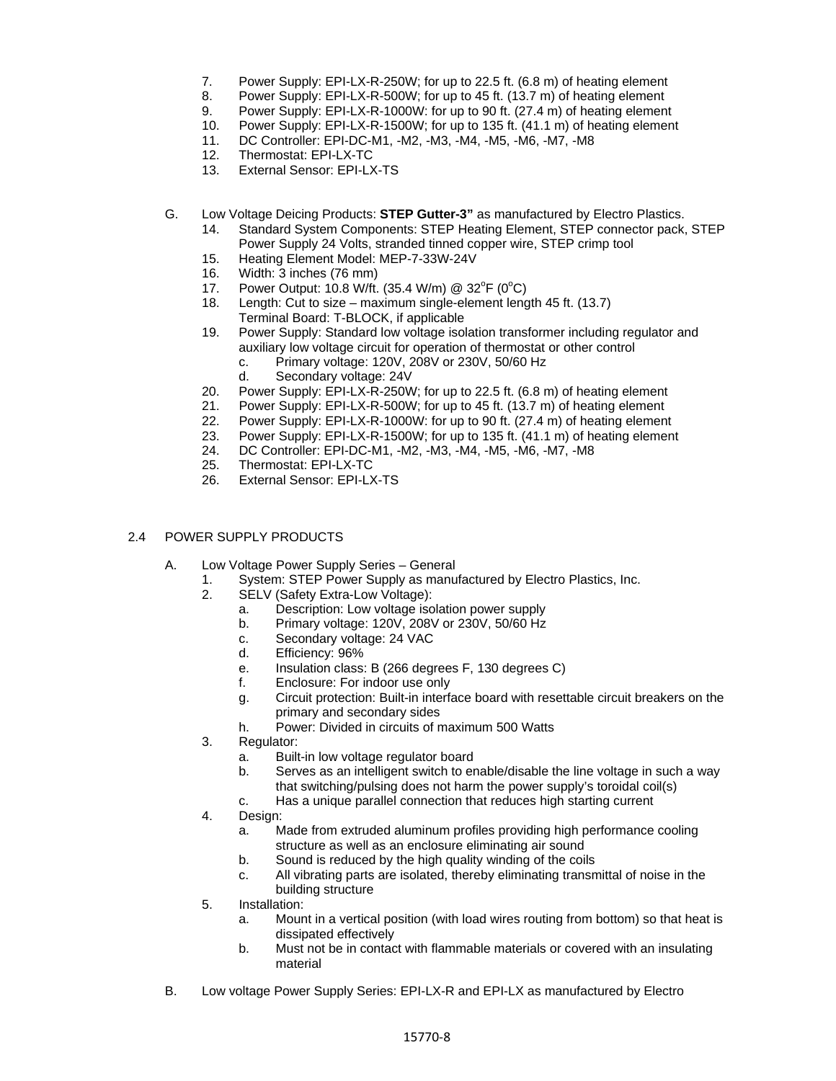- 7. Power Supply: EPI-LX-R-250W; for up to 22.5 ft. (6.8 m) of heating element
- 8. Power Supply: EPI-LX-R-500W; for up to 45 ft. (13.7 m) of heating element
- 9. Power Supply: EPI-LX-R-1000W: for up to 90 ft. (27.4 m) of heating element
- 10. Power Supply: EPI-LX-R-1500W; for up to 135 ft. (41.1 m) of heating element
- 11. DC Controller: EPI-DC-M1, -M2, -M3, -M4, -M5, -M6, -M7, -M8
- 12. Thermostat: EPI-LX-TC
- 13. External Sensor: EPI-LX-TS
- G. Low Voltage Deicing Products: **STEP Gutter-3"** as manufactured by Electro Plastics.
	- 14. Standard System Components: STEP Heating Element, STEP connector pack, STEP Power Supply 24 Volts, stranded tinned copper wire, STEP crimp tool
	- 15. Heating Element Model: MEP-7-33W-24V
	- 16. Width: 3 inches (76 mm)
	- 17. Power Output: 10.8 W/ft. (35.4 W/m) @  $32^{\circ}F$  (0°C)
	- 18. Length: Cut to size maximum single-element length 45 ft. (13.7) Terminal Board: T-BLOCK, if applicable
	- 19. Power Supply: Standard low voltage isolation transformer including regulator and auxiliary low voltage circuit for operation of thermostat or other control
		- c. Primary voltage: 120V, 208V or 230V, 50/60 Hz
		- d. Secondary voltage: 24V
	- 20. Power Supply: EPI-LX-R-250W; for up to 22.5 ft. (6.8 m) of heating element
	- 21. Power Supply: EPI-LX-R-500W; for up to 45 ft. (13.7 m) of heating element
	- 22. Power Supply: EPI-LX-R-1000W: for up to 90 ft. (27.4 m) of heating element
	- 23. Power Supply: EPI-LX-R-1500W; for up to 135 ft. (41.1 m) of heating element
	- 24. DC Controller: EPI-DC-M1, -M2, -M3, -M4, -M5, -M6, -M7, -M8
	- 25. Thermostat: EPI-LX-TC
	- 26. External Sensor: EPI-LX-TS

#### 2.4 POWER SUPPLY PRODUCTS

- A. Low Voltage Power Supply Series General
	- 1. System: STEP Power Supply as manufactured by Electro Plastics, Inc.
	- 2. SELV (Safety Extra-Low Voltage):
		- a. Description: Low voltage isolation power supply
		- b. Primary voltage: 120V, 208V or 230V, 50/60 Hz
		- c. Secondary voltage: 24 VAC
		- d. Efficiency: 96%
		- e. Insulation class: B (266 degrees F, 130 degrees C)
		- f. Enclosure: For indoor use only
		- g. Circuit protection: Built-in interface board with resettable circuit breakers on the primary and secondary sides
		- h. Power: Divided in circuits of maximum 500 Watts
	- 3. Regulator:
		- a. Built-in low voltage regulator board
		- b. Serves as an intelligent switch to enable/disable the line voltage in such a way that switching/pulsing does not harm the power supply's toroidal coil(s)
		- c. Has a unique parallel connection that reduces high starting current
	- 4. Design:
		- a. Made from extruded aluminum profiles providing high performance cooling structure as well as an enclosure eliminating air sound
		- b. Sound is reduced by the high quality winding of the coils
		- c. All vibrating parts are isolated, thereby eliminating transmittal of noise in the building structure
	- 5. Installation:
		- a. Mount in a vertical position (with load wires routing from bottom) so that heat is dissipated effectively
		- b. Must not be in contact with flammable materials or covered with an insulating material
- B. Low voltage Power Supply Series: EPI-LX-R and EPI-LX as manufactured by Electro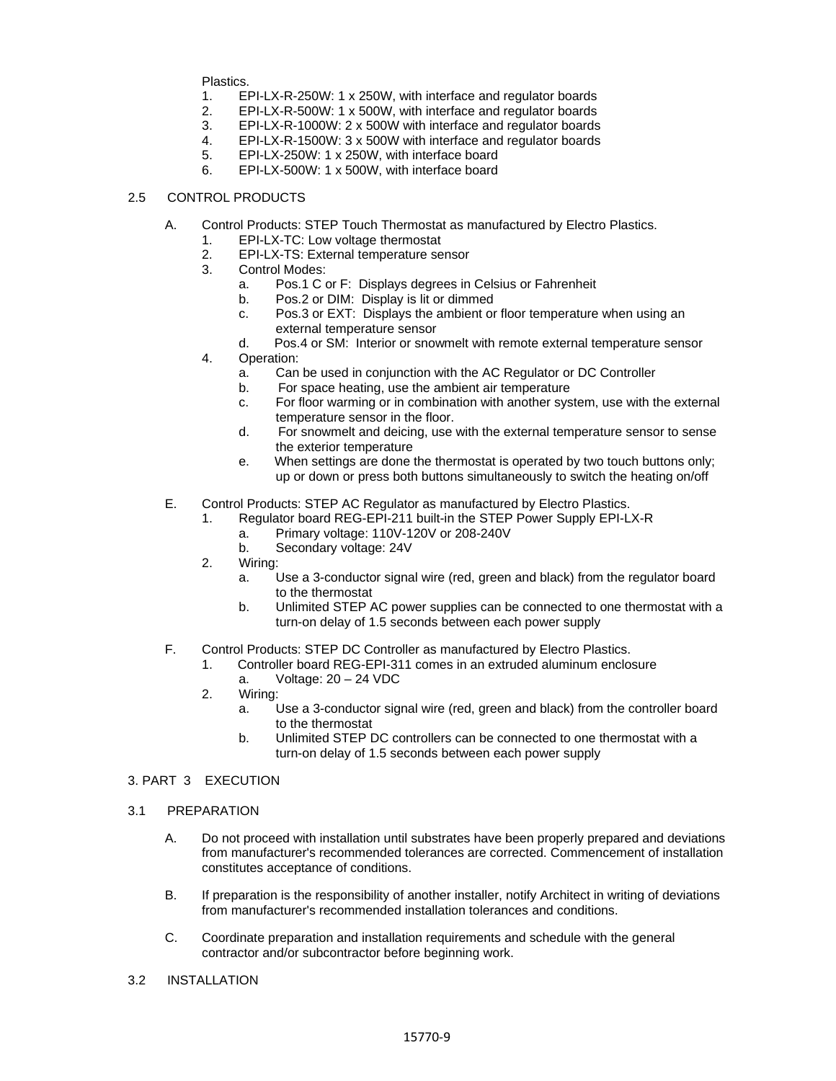Plastics.

- 1. EPI-LX-R-250W: 1 x 250W, with interface and regulator boards
- 2. EPI-LX-R-500W: 1 x 500W, with interface and regulator boards
- 3. EPI-LX-R-1000W: 2 x 500W with interface and regulator boards
- 4. EPI-LX-R-1500W: 3 x 500W with interface and regulator boards
- 5. EPI-LX-250W: 1 x 250W, with interface board
- 6. EPI-LX-500W: 1 x 500W, with interface board

## 2.5 CONTROL PRODUCTS

- A. Control Products: STEP Touch Thermostat as manufactured by Electro Plastics.
	- 1. EPI-LX-TC: Low voltage thermostat
	- 2. EPI-LX-TS: External temperature sensor
	- 3. Control Modes:
		- a. Pos.1 C or F: Displays degrees in Celsius or Fahrenheit
		- b. Pos.2 or DIM: Display is lit or dimmed
		- c. Pos.3 or EXT: Displays the ambient or floor temperature when using an external temperature sensor
	- d. Pos.4 or SM: Interior or snowmelt with remote external temperature sensor 4. Operation:
		- a. Can be used in conjunction with the AC Regulator or DC Controller
		- b. For space heating, use the ambient air temperature
		- c. For floor warming or in combination with another system, use with the external temperature sensor in the floor.
		- d. For snowmelt and deicing, use with the external temperature sensor to sense the exterior temperature
		- e. When settings are done the thermostat is operated by two touch buttons only; up or down or press both buttons simultaneously to switch the heating on/off
- E. Control Products: STEP AC Regulator as manufactured by Electro Plastics.
	- 1. Regulator board REG-EPI-211 built-in the STEP Power Supply EPI-LX-R
		- a. Primary voltage: 110V-120V or 208-240V
		- b. Secondary voltage: 24V
	- 2. Wiring:
		- a. Use a 3-conductor signal wire (red, green and black) from the regulator board to the thermostat
		- b. Unlimited STEP AC power supplies can be connected to one thermostat with a turn-on delay of 1.5 seconds between each power supply
- F. Control Products: STEP DC Controller as manufactured by Electro Plastics.
	- 1. Controller board REG-EPI-311 comes in an extruded aluminum enclosure
		- a. Voltage: 20 24 VDC
	- 2. Wiring:
		- a. Use a 3-conductor signal wire (red, green and black) from the controller board to the thermostat
		- b. Unlimited STEP DC controllers can be connected to one thermostat with a turn-on delay of 1.5 seconds between each power supply

#### 3. PART 3 EXECUTION

- 3.1 PREPARATION
	- A. Do not proceed with installation until substrates have been properly prepared and deviations from manufacturer's recommended tolerances are corrected. Commencement of installation constitutes acceptance of conditions.
	- B. If preparation is the responsibility of another installer, notify Architect in writing of deviations from manufacturer's recommended installation tolerances and conditions.
	- C. Coordinate preparation and installation requirements and schedule with the general contractor and/or subcontractor before beginning work.
- 3.2 INSTALLATION